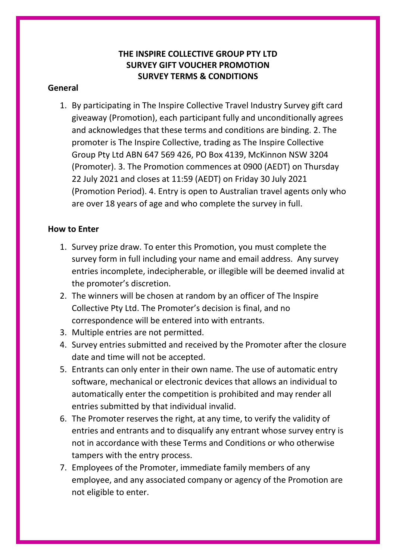# **THE INSPIRE COLLECTIVE GROUP PTY LTD SURVEY GIFT VOUCHER PROMOTION SURVEY TERMS & CONDITIONS**

### **General**

1. By participating in The Inspire Collective Travel Industry Survey gift card giveaway (Promotion), each participant fully and unconditionally agrees and acknowledges that these terms and conditions are binding. 2. The promoter is The Inspire Collective, trading as The Inspire Collective Group Pty Ltd ABN 647 569 426, PO Box 4139, McKinnon NSW 3204 (Promoter). 3. The Promotion commences at 0900 (AEDT) on Thursday 22 July 2021 and closes at 11:59 (AEDT) on Friday 30 July 2021 (Promotion Period). 4. Entry is open to Australian travel agents only who are over 18 years of age and who complete the survey in full.

## **How to Enter**

- 1. Survey prize draw. To enter this Promotion, you must complete the survey form in full including your name and email address. Any survey entries incomplete, indecipherable, or illegible will be deemed invalid at the promoter's discretion.
- 2. The winners will be chosen at random by an officer of The Inspire Collective Pty Ltd. The Promoter's decision is final, and no correspondence will be entered into with entrants.
- 3. Multiple entries are not permitted.
- 4. Survey entries submitted and received by the Promoter after the closure date and time will not be accepted.
- 5. Entrants can only enter in their own name. The use of automatic entry software, mechanical or electronic devices that allows an individual to automatically enter the competition is prohibited and may render all entries submitted by that individual invalid.
- 6. The Promoter reserves the right, at any time, to verify the validity of entries and entrants and to disqualify any entrant whose survey entry is not in accordance with these Terms and Conditions or who otherwise tampers with the entry process.
- 7. Employees of the Promoter, immediate family members of any employee, and any associated company or agency of the Promotion are not eligible to enter.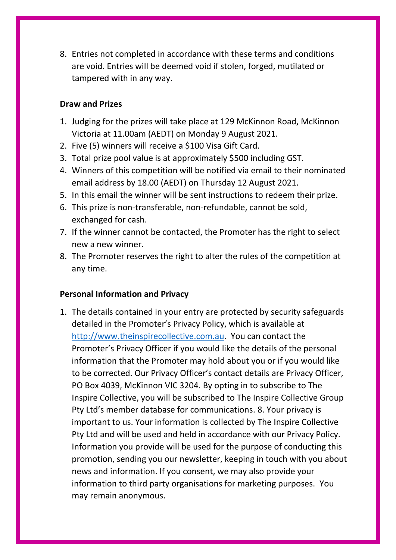8. Entries not completed in accordance with these terms and conditions are void. Entries will be deemed void if stolen, forged, mutilated or tampered with in any way.

### **Draw and Prizes**

- 1. Judging for the prizes will take place at 129 McKinnon Road, McKinnon Victoria at 11.00am (AEDT) on Monday 9 August 2021.
- 2. Five (5) winners will receive a \$100 Visa Gift Card.
- 3. Total prize pool value is at approximately \$500 including GST.
- 4. Winners of this competition will be notified via email to their nominated email address by 18.00 (AEDT) on Thursday 12 August 2021.
- 5. In this email the winner will be sent instructions to redeem their prize.
- 6. This prize is non-transferable, non-refundable, cannot be sold, exchanged for cash.
- 7. If the winner cannot be contacted, the Promoter has the right to select new a new winner.
- 8. The Promoter reserves the right to alter the rules of the competition at any time.

#### **Personal Information and Privacy**

1. The details contained in your entry are protected by security safeguards detailed in the Promoter's Privacy Policy, which is available at [http://www.theinspirecollective.com.au.](http://www.theinspirecollective.com.au/) You can contact the Promoter's Privacy Officer if you would like the details of the personal information that the Promoter may hold about you or if you would like to be corrected. Our Privacy Officer's contact details are Privacy Officer, PO Box 4039, McKinnon VIC 3204. By opting in to subscribe to The Inspire Collective, you will be subscribed to The Inspire Collective Group Pty Ltd's member database for communications. 8. Your privacy is important to us. Your information is collected by The Inspire Collective Pty Ltd and will be used and held in accordance with our Privacy Policy. Information you provide will be used for the purpose of conducting this promotion, sending you our newsletter, keeping in touch with you about news and information. If you consent, we may also provide your information to third party organisations for marketing purposes. You may remain anonymous.